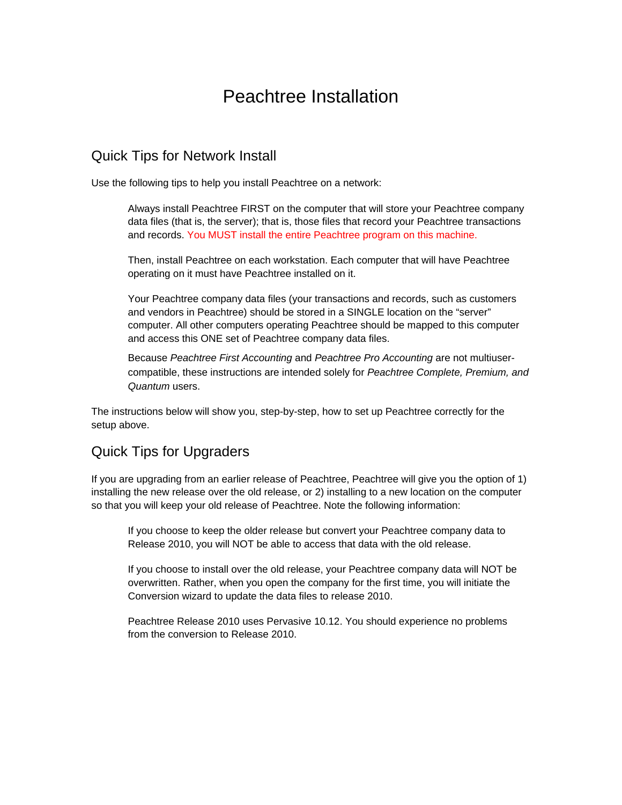# Peachtree Installation

### Quick Tips for Network Install

Use the following tips to help you install Peachtree on a network:

Always install Peachtree FIRST on the computer that will store your Peachtree company data files (that is, the server); that is, those files that record your Peachtree transactions and records. You MUST install the entire Peachtree program on this machine.

 Then, install Peachtree on each workstation. Each computer that will have Peachtree operating on it must have Peachtree installed on it.

 Your Peachtree company data files (your transactions and records, such as customers and vendors in Peachtree) should be stored in a SINGLE location on the "server" computer. All other computers operating Peachtree should be mapped to this computer and access this ONE set of Peachtree company data files.

 Because *Peachtree First Accounting* and *Peachtree Pro Accounting* are not multiusercompatible, these instructions are intended solely for *Peachtree Complete, Premium, and Quantum* users.

The instructions below will show you, step-by-step, how to set up Peachtree correctly for the setup above.

# Quick Tips for Upgraders

If you are upgrading from an earlier release of Peachtree, Peachtree will give you the option of 1) installing the new release over the old release, or 2) installing to a new location on the computer so that you will keep your old release of Peachtree. Note the following information:

 If you choose to keep the older release but convert your Peachtree company data to Release 2010, you will NOT be able to access that data with the old release.

 If you choose to install over the old release, your Peachtree company data will NOT be overwritten. Rather, when you open the company for the first time, you will initiate the Conversion wizard to update the data files to release 2010.

 Peachtree Release 2010 uses Pervasive 10.12. You should experience no problems from the conversion to Release 2010.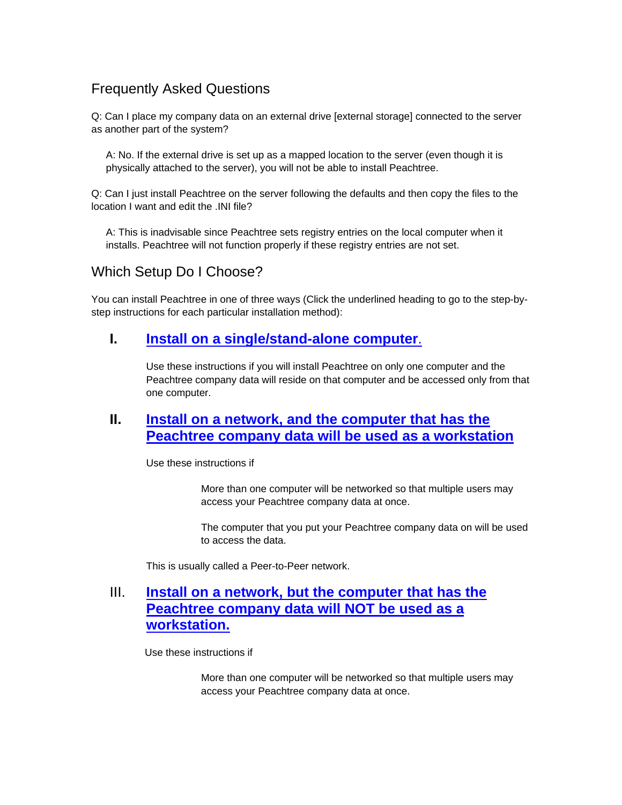# Frequently Asked Questions

Q: Can I place my company data on an external drive [external storage] connected to the server as another part of the system?

A: No. If the external drive is set up as a mapped location to the server (even though it is physically attached to the server), you will not be able to install Peachtree.

Q: Can I just install Peachtree on the server following the defaults and then copy the files to the location I want and edit the .INI file?

A: This is inadvisable since Peachtree sets registry entries on the local computer when it installs. Peachtree will not function properly if these registry entries are not set.

Which Setup Do I Choose?

You can install Peachtree in one of three ways (Click the underlined heading to go to the step-bystep instructions for each particular installation method):

#### **I. Install on a single/stand-alone computer**.

Use these instructions if you will install Peachtree on only one computer and the Peachtree company data will reside on that computer and be accessed only from that one computer.

# **II. Install on a network, and the computer that has the Peachtree company data will be used as a workstation**

Use these instructions if

 More than one computer will be networked so that multiple users may access your Peachtree company data at once.

 The computer that you put your Peachtree company data on will be used to access the data.

This is usually called a Peer-to-Peer network.

# III. **Install on a network, but the computer that has the Peachtree company data will NOT be used as a workstation.**

Use these instructions if

 More than one computer will be networked so that multiple users may access your Peachtree company data at once.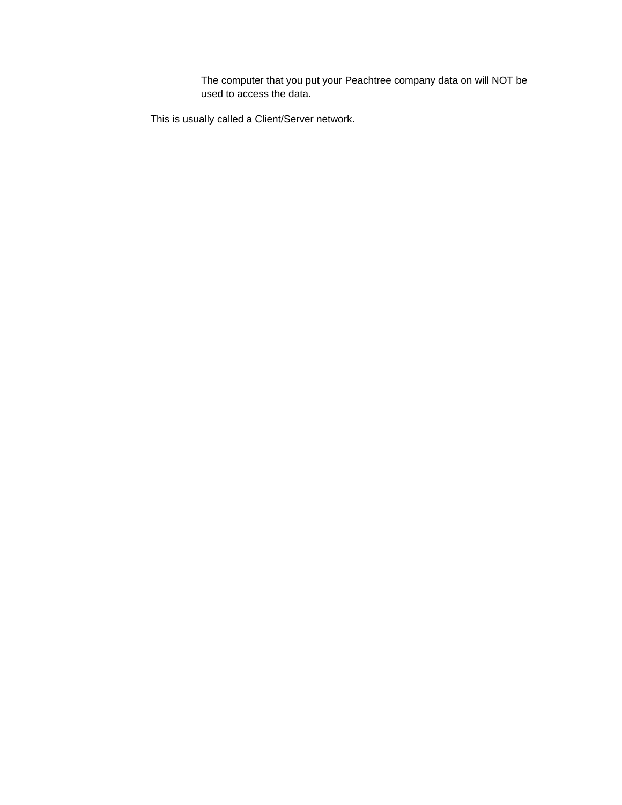The computer that you put your Peachtree company data on will NOT be used to access the data.

This is usually called a Client/Server network.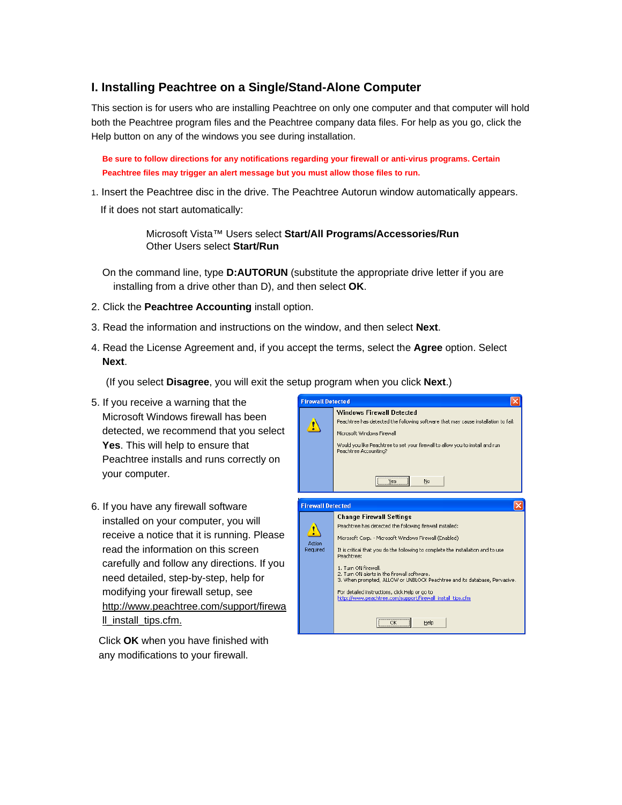#### **I. Installing Peachtree on a Single/Stand-Alone Computer**

This section is for users who are installing Peachtree on only one computer and that computer will hold both the Peachtree program files and the Peachtree company data files. For help as you go, click the Help button on any of the windows you see during installation.

**Be sure to follow directions for any notifications regarding your firewall or anti-virus programs. Certain Peachtree files may trigger an alert message but you must allow those files to run.** 

1. Insert the Peachtree disc in the drive. The Peachtree Autorun window automatically appears.

If it does not start automatically:

 Microsoft Vista™ Users select **Start/All Programs/Accessories/Run** Other Users select **Start/Run**

On the command line, type **D:AUTORUN** (substitute the appropriate drive letter if you are installing from a drive other than D), and then select **OK**.

- 2. Click the **Peachtree Accounting** install option.
- 3. Read the information and instructions on the window, and then select **Next**.
- 4. Read the License Agreement and, if you accept the terms, select the **Agree** option. Select **Next**.

(If you select **Disagree**, you will exit the setup program when you click **Next**.)

- 5. If you receive a warning that the Microsoft Windows firewall has been detected, we recommend that you select **Yes**. This will help to ensure that Peachtree installs and runs correctly on your computer.
- 6. If you have any firewall software installed on your computer, you will receive a notice that it is running. Please read the information on this screen carefully and follow any directions. If you need detailed, step-by-step, help for modifying your firewall setup, see http://www.peachtree.com/support/firewa ll\_install\_tips.cfm.

Click **OK** when you have finished with any modifications to your firewall.

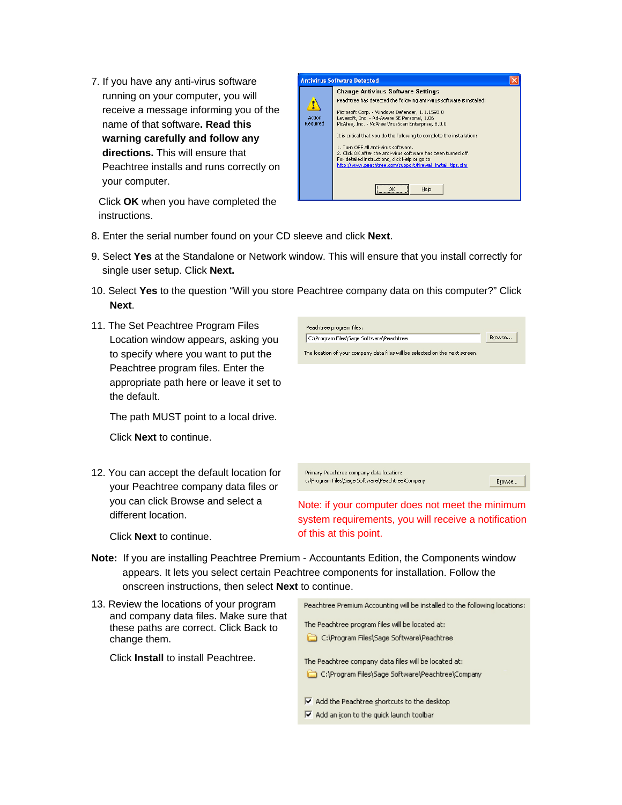7. If you have any anti-virus software running on your computer, you will receive a message informing you of the name of that software**. Read this warning carefully and follow any directions.** This will ensure that Peachtree installs and runs correctly on your computer.

Click **OK** when you have completed the instructions.



- 8. Enter the serial number found on your CD sleeve and click **Next**.
- 9. Select **Yes** at the Standalone or Network window. This will ensure that you install correctly for single user setup. Click **Next.**
- 10. Select **Yes** to the question "Will you store Peachtree company data on this computer?" Click **Next**.
- 11. The Set Peachtree Program Files Location window appears, asking you to specify where you want to put the Peachtree program files. Enter the appropriate path here or leave it set to the default.

The path MUST point to a local drive.

Click **Next** to continue.

12. You can accept the default location for your Peachtree company data files or you can click Browse and select a different location.

Click **Next** to continue.



Primary Peachtree company data location: c:\Program Files\Sage Software\Peachtree\Company Browse.

Note: if your computer does not meet the minimum system requirements, you will receive a notification of this at this point.

- **Note:** If you are installing Peachtree Premium Accountants Edition, the Components window appears. It lets you select certain Peachtree components for installation. Follow the onscreen instructions, then select **Next** to continue.
- 13. Review the locations of your program Peachtree Premium Accounting will be installed to the following locations: and company data files. Make sure that The Peachtree program files will be located at: these paths are correct. Click Back to C:\Program Files\Sage Software\Peachtree change them. Click **Install** to install Peachtree. The Peachtree company data files will be located at: C:\Program Files\Sage Software\Peachtree\Company  $\overline{\triangledown}$  Add the Peachtree shortcuts to the desktop
	- ☑ Add an icon to the quick launch toolbar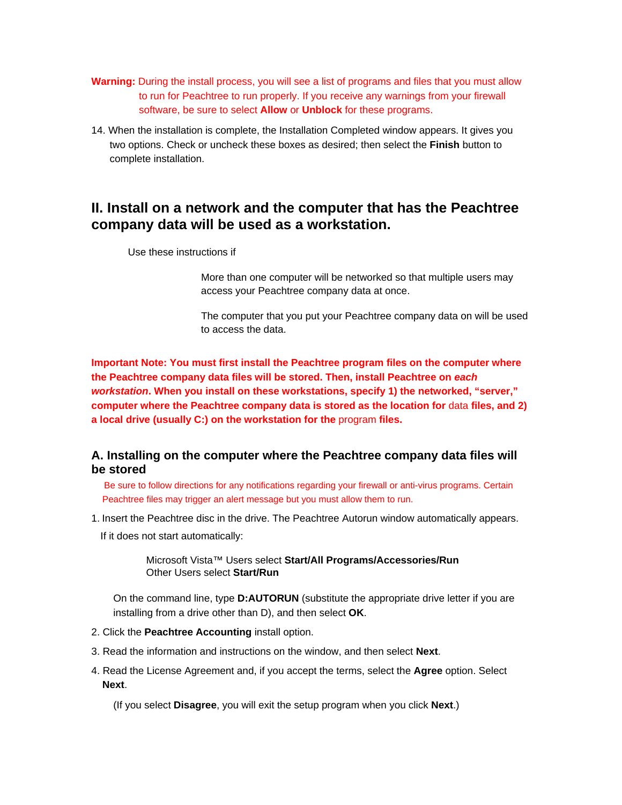- **Warning:** During the install process, you will see a list of programs and files that you must allow to run for Peachtree to run properly. If you receive any warnings from your firewall software, be sure to select **Allow** or **Unblock** for these programs.
- 14. When the installation is complete, the Installation Completed window appears. It gives you two options. Check or uncheck these boxes as desired; then select the **Finish** button to complete installation.

### **II. Install on a network and the computer that has the Peachtree company data will be used as a workstation.**

Use these instructions if

 More than one computer will be networked so that multiple users may access your Peachtree company data at once.

 The computer that you put your Peachtree company data on will be used to access the data.

**Important Note: You must first install the Peachtree program files on the computer where the Peachtree company data files will be stored. Then, install Peachtree on** *each workstation***. When you install on these workstations, specify 1) the networked, "server," computer where the Peachtree company data is stored as the location for data files, and 2) a local drive (usually C:) on the workstation for the** program **files.** 

#### **A. Installing on the computer where the Peachtree company data files will be stored**

 Be sure to follow directions for any notifications regarding your firewall or anti-virus programs. Certain Peachtree files may trigger an alert message but you must allow them to run.

- 1. Insert the Peachtree disc in the drive. The Peachtree Autorun window automatically appears.
	- If it does not start automatically:

 Microsoft Vista™ Users select **Start/All Programs/Accessories/Run** Other Users select **Start/Run**

On the command line, type **D:AUTORUN** (substitute the appropriate drive letter if you are installing from a drive other than D), and then select **OK**.

- 2. Click the **Peachtree Accounting** install option.
- 3. Read the information and instructions on the window, and then select **Next**.
- 4. Read the License Agreement and, if you accept the terms, select the **Agree** option. Select **Next**.

(If you select **Disagree**, you will exit the setup program when you click **Next**.)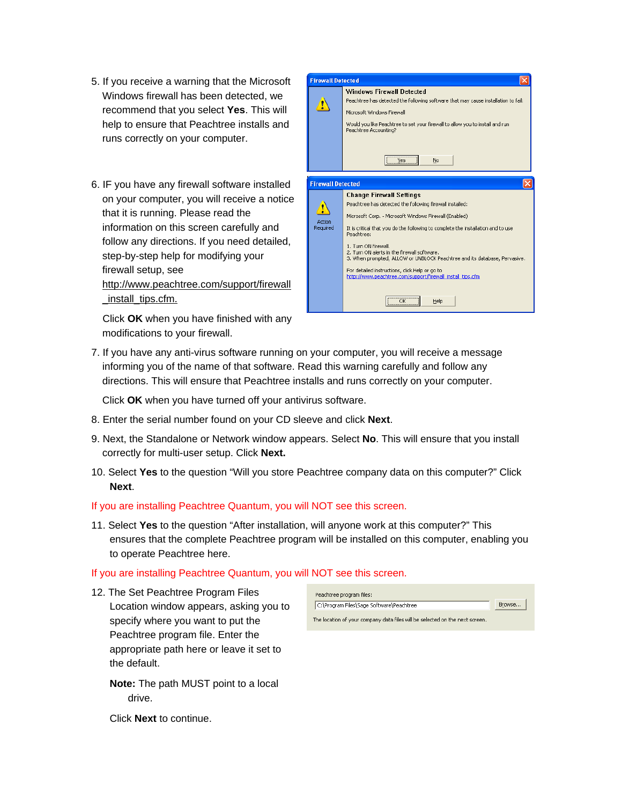- 5. If you receive a warning that the Microsoft Windows firewall has been detected, we recommend that you select **Yes**. This will help to ensure that Peachtree installs and runs correctly on your computer.
- 6. IF you have any firewall software installed on your computer, you will receive a notice that it is running. Please read the information on this screen carefully and follow any directions. If you need detailed, step-by-step help for modifying your firewall setup, see http://www.peachtree.com/support/firewall \_install\_tips.cfm.

 Click **OK** when you have finished with any modifications to your firewall.



7. If you have any anti-virus software running on your computer, you will receive a message informing you of the name of that software. Read this warning carefully and follow any directions. This will ensure that Peachtree installs and runs correctly on your computer.

Click **OK** when you have turned off your antivirus software.

- 8. Enter the serial number found on your CD sleeve and click **Next**.
- 9. Next, the Standalone or Network window appears. Select **No**. This will ensure that you install correctly for multi-user setup. Click **Next.**
- 10. Select **Yes** to the question "Will you store Peachtree company data on this computer?" Click **Next**.

If you are installing Peachtree Quantum, you will NOT see this screen.

11. Select **Yes** to the question "After installation, will anyone work at this computer?" This ensures that the complete Peachtree program will be installed on this computer, enabling you to operate Peachtree here.

#### If you are installing Peachtree Quantum, you will NOT see this screen.

12. The Set Peachtree Program Files Location window appears, asking you to specify where you want to put the Peachtree program file. Enter the appropriate path here or leave it set to the default.

**Note:** The path MUST point to a local drive.

Peachtree program files: Browse... C:\Program Files\Sage Software\Peachtree The location of your company data files will be selected on the next screen.

Click **Next** to continue.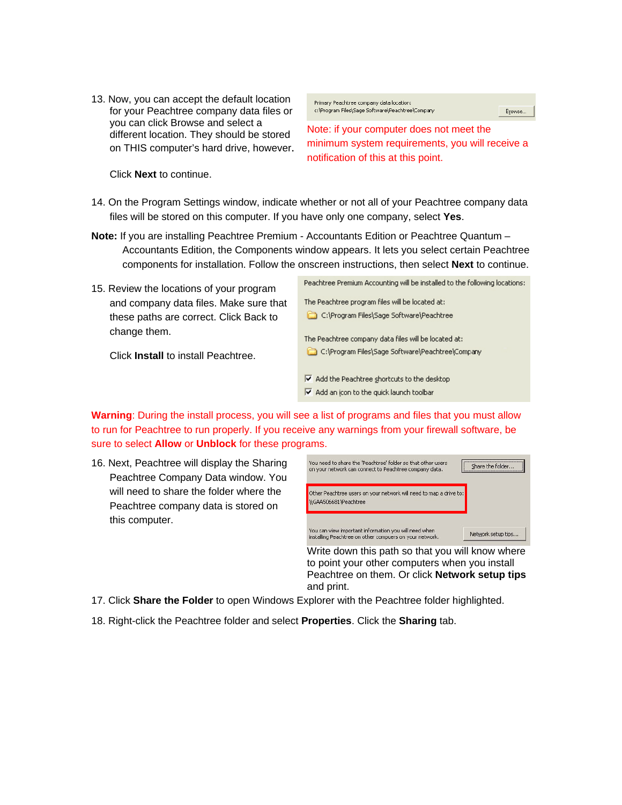13. Now, you can accept the default location for your Peachtree company data files or you can click Browse and select a different location. They should be stored on THIS computer's hard drive, however.

Primary Peachtree company data location: c:\Program Files\Sage Software\Peachtree\Company

Browse.

Note: if your computer does not meet the minimum system requirements, you will receive a notification of this at this point.

Click **Next** to continue.

- 14. On the Program Settings window, indicate whether or not all of your Peachtree company data files will be stored on this computer. If you have only one company, select **Yes**.
- **Note:** If you are installing Peachtree Premium Accountants Edition or Peachtree Quantum Accountants Edition, the Components window appears. It lets you select certain Peachtree components for installation. Follow the onscreen instructions, then select **Next** to continue.
- 15. Review the locations of your program and company data files. Make sure that these paths are correct. Click Back to change them.

Peachtree Premium Accounting will be installed to the following locations: The Peachtree program files will be located at: C:\Program Files\Sage Software\Peachtree The Peachtree company data files will be located at: C:\Program Files\Sage Software\Peachtree\Company M Add the Peachtree shortcuts to the desktop M Add an icon to the quick launch toolbar

Click **Install** to install Peachtree.

**Warning**: During the install process, you will see a list of programs and files that you must allow to run for Peachtree to run properly. If you receive any warnings from your firewall software, be sure to select **Allow** or **Unblock** for these programs.

16. Next, Peachtree will display the Sharing Peachtree Company Data window. You will need to share the folder where the Peachtree company data is stored on this computer.

| You need to share the 'Peachtree' folder so that other users<br>on your network can connect to Peachtree company data. | Share the folder   |
|------------------------------------------------------------------------------------------------------------------------|--------------------|
| Other Peachtree users on your network will need to map a drive to:<br>\\GAA506681\Peachtree                            |                    |
| You can view important information you will need when<br>installing Peachtree on other compuers on your network.       | Network setup tips |

Write down this path so that you will know where to point your other computers when you install Peachtree on them. Or click **Network setup tips** and print.

- 17. Click **Share the Folder** to open Windows Explorer with the Peachtree folder highlighted.
- 18. Right-click the Peachtree folder and select **Properties**. Click the **Sharing** tab.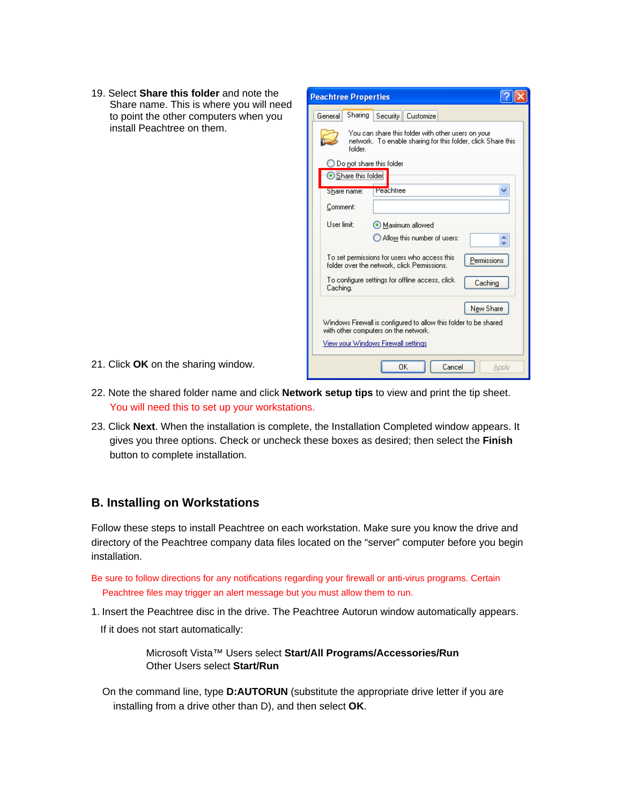19. Select **Share this folder** and note the Share name. This is where you will need to point the other computers when you install Peachtree on them.

| <b>Peachtree Properties</b>                                                                                                  |  |  |
|------------------------------------------------------------------------------------------------------------------------------|--|--|
| Sharing<br>General<br>Security<br>Customize                                                                                  |  |  |
| You can share this folder with other users on your<br>network. To enable sharing for this folder, click Share this<br>folder |  |  |
| Do not share this folder<br>Share this folder                                                                                |  |  |
| Peachtree<br>Share name:                                                                                                     |  |  |
| Comment:                                                                                                                     |  |  |
| User limit:<br>Maximum allowed                                                                                               |  |  |
| $\bigcirc$ Allow this number of users:                                                                                       |  |  |
| To set permissions for users who access this<br>Permissions<br>folder over the network, click Permissions,                   |  |  |
| To configure settings for offline access, click<br>Caching<br>Caching.                                                       |  |  |
| New Share                                                                                                                    |  |  |
| Windows Firewall is configured to allow this folder to be shared<br>with other computers on the network.                     |  |  |
| View your Windows Firewall settings                                                                                          |  |  |
| OK<br>Cancel<br>Apply                                                                                                        |  |  |

- 21. Click **OK** on the sharing window.
- 22. Note the shared folder name and click **Network setup tips** to view and print the tip sheet. You will need this to set up your workstations.
- 23. Click **Next**. When the installation is complete, the Installation Completed window appears. It gives you three options. Check or uncheck these boxes as desired; then select the **Finish** button to complete installation.

#### **B. Installing on Workstations**

Follow these steps to install Peachtree on each workstation. Make sure you know the drive and directory of the Peachtree company data files located on the "server" computer before you begin installation.

- Be sure to follow directions for any notifications regarding your firewall or anti-virus programs. Certain Peachtree files may trigger an alert message but you must allow them to run.
- 1. Insert the Peachtree disc in the drive. The Peachtree Autorun window automatically appears.
	- If it does not start automatically:

 Microsoft Vista™ Users select **Start/All Programs/Accessories/Run** Other Users select **Start/Run**

On the command line, type **D:AUTORUN** (substitute the appropriate drive letter if you are installing from a drive other than D), and then select **OK**.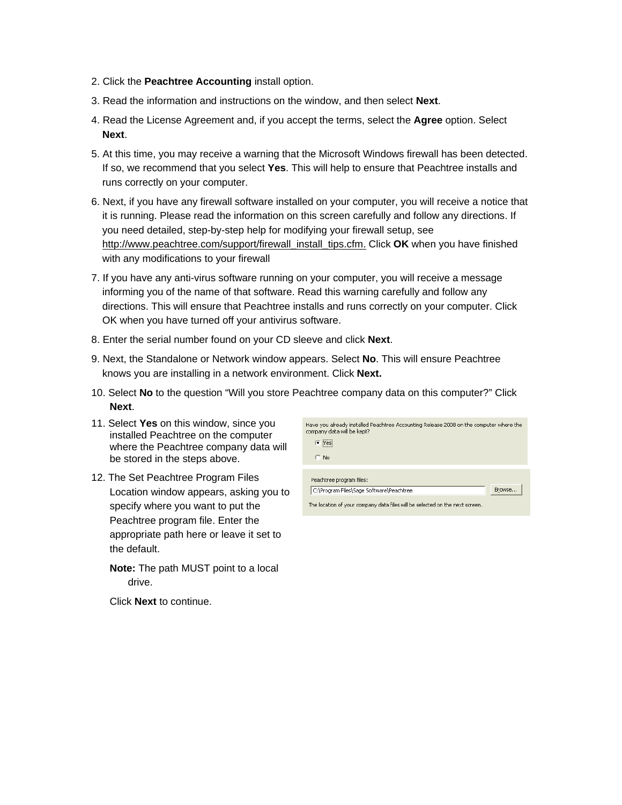- 2. Click the **Peachtree Accounting** install option.
- 3. Read the information and instructions on the window, and then select **Next**.
- 4. Read the License Agreement and, if you accept the terms, select the **Agree** option. Select **Next**.
- 5. At this time, you may receive a warning that the Microsoft Windows firewall has been detected. If so, we recommend that you select **Yes**. This will help to ensure that Peachtree installs and runs correctly on your computer.
- 6. Next, if you have any firewall software installed on your computer, you will receive a notice that it is running. Please read the information on this screen carefully and follow any directions. If you need detailed, step-by-step help for modifying your firewall setup, see http://www.peachtree.com/support/firewall\_install\_tips.cfm. Click **OK** when you have finished with any modifications to your firewall
- 7. If you have any anti-virus software running on your computer, you will receive a message informing you of the name of that software. Read this warning carefully and follow any directions. This will ensure that Peachtree installs and runs correctly on your computer. Click OK when you have turned off your antivirus software.
- 8. Enter the serial number found on your CD sleeve and click **Next**.
- 9. Next, the Standalone or Network window appears. Select **No**. This will ensure Peachtree knows you are installing in a network environment. Click **Next.**
- 10. Select **No** to the question "Will you store Peachtree company data on this computer?" Click **Next**.
- 11. Select **Yes** on this window, since you installed Peachtree on the computer where the Peachtree company data will be stored in the steps above.
- 12. The Set Peachtree Program Files Location window appears, asking you to specify where you want to put the Peachtree program file. Enter the appropriate path here or leave it set to the default.
	- **Note:** The path MUST point to a local drive.

Click **Next** to continue.

| Have you already installed Peachtree Accounting Release 2008 on the computer where the<br>company data will be kept? |  |
|----------------------------------------------------------------------------------------------------------------------|--|
| G Yesi                                                                                                               |  |
| No.                                                                                                                  |  |
|                                                                                                                      |  |
| Peachtree program files:                                                                                             |  |
| Browse<br>C:\Program Files\Sage Software\Peachtree                                                                   |  |
|                                                                                                                      |  |

The location of your company data files will be selected on the next screen.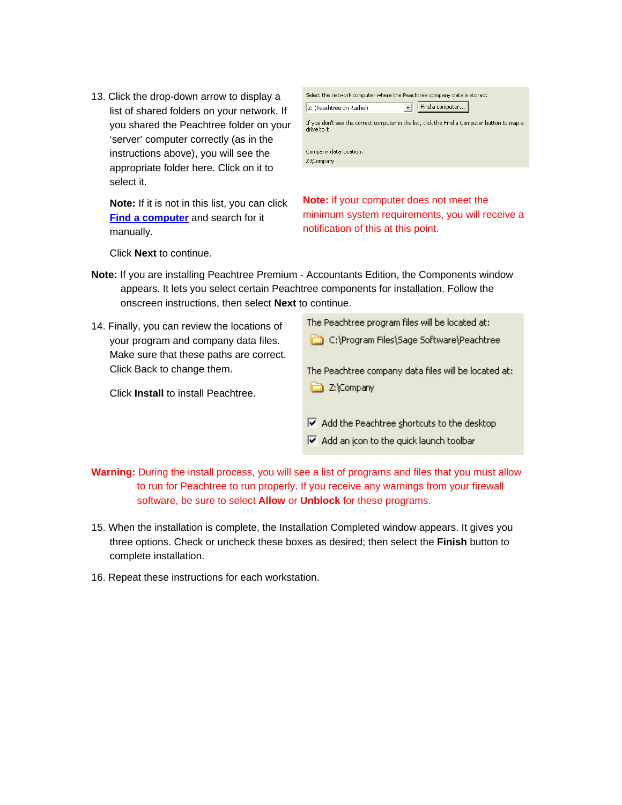13. Click the drop-down arrow to display a list of shared folders on your network. If you shared the Peachtree folder on your 'server' computer correctly (as in the instructions above), you will see the appropriate folder here. Click on it to select it.

**Note:** If it is not in this list, you can click **Find a computer** and search for it manually.

| Select the network computer where the Peachtree company data is stored:                                      |                 |  |  |
|--------------------------------------------------------------------------------------------------------------|-----------------|--|--|
| Z: (Peachtree on Rachel)                                                                                     | Find a computer |  |  |
| If you don't see the correct computer in the list, click the Find a Computer button to map a<br>drive to it. |                 |  |  |
| Company data location:                                                                                       |                 |  |  |
| Z:\Company                                                                                                   |                 |  |  |
|                                                                                                              |                 |  |  |

**Note:** if your computer does not meet the minimum system requirements, you will receive a notification of this at this point.

Click **Next** to continue.

- **Note:** If you are installing Peachtree Premium Accountants Edition, the Components window appears. It lets you select certain Peachtree components for installation. Follow the onscreen instructions, then select **Next** to continue.
- 14. Finally, you can review the locations of your program and company data files. Make sure that these paths are correct. Click Back to change them.

Click **Install** to install Peachtree.

The Peachtree program files will be located at:

C:\Program Files\Sage Software\Peachtree

The Peachtree company data files will be located at: 2:\Company

- $\triangledown$  Add the Peachtree shortcuts to the desktop
- $\blacktriangleright$  Add an icon to the quick launch toolbar

**Warning:** During the install process, you will see a list of programs and files that you must allow to run for Peachtree to run properly. If you receive any warnings from your firewall software, be sure to select **Allow** or **Unblock** for these programs.

- 15. When the installation is complete, the Installation Completed window appears. It gives you three options. Check or uncheck these boxes as desired; then select the **Finish** button to complete installation.
- 16. Repeat these instructions for each workstation.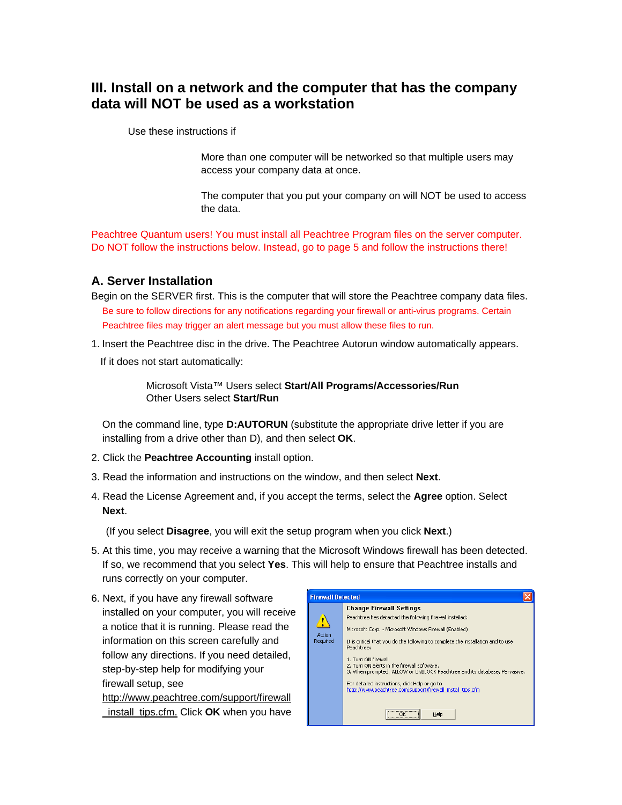# **III. Install on a network and the computer that has the company data will NOT be used as a workstation**

Use these instructions if

 More than one computer will be networked so that multiple users may access your company data at once.

 The computer that you put your company on will NOT be used to access the data.

Peachtree Quantum users! You must install all Peachtree Program files on the server computer. Do NOT follow the instructions below. Instead, go to page 5 and follow the instructions there!

#### **A. Server Installation**

- Begin on the SERVER first. This is the computer that will store the Peachtree company data files. Be sure to follow directions for any notifications regarding your firewall or anti-virus programs. Certain Peachtree files may trigger an alert message but you must allow these files to run.
- 1. Insert the Peachtree disc in the drive. The Peachtree Autorun window automatically appears.

If it does not start automatically:

 Microsoft Vista™ Users select **Start/All Programs/Accessories/Run** Other Users select **Start/Run**

On the command line, type **D:AUTORUN** (substitute the appropriate drive letter if you are installing from a drive other than D), and then select **OK**.

- 2. Click the **Peachtree Accounting** install option.
- 3. Read the information and instructions on the window, and then select **Next**.
- 4. Read the License Agreement and, if you accept the terms, select the **Agree** option. Select **Next**.

(If you select **Disagree**, you will exit the setup program when you click **Next**.)

- 5. At this time, you may receive a warning that the Microsoft Windows firewall has been detected. If so, we recommend that you select **Yes**. This will help to ensure that Peachtree installs and runs correctly on your computer.
- 6. Next, if you have any firewall software installed on your computer, you will receive a notice that it is running. Please read the information on this screen carefully and follow any directions. If you need detailed, step-by-step help for modifying your firewall setup, see

http://www.peachtree.com/support/firewall \_install\_tips.cfm. Click **OK** when you have

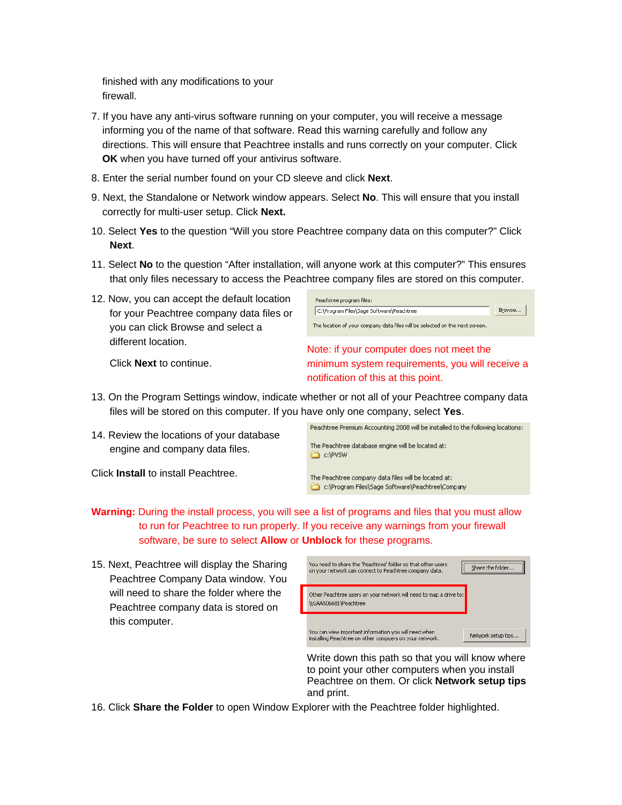finished with any modifications to your firewall.

- 7. If you have any anti-virus software running on your computer, you will receive a message informing you of the name of that software. Read this warning carefully and follow any directions. This will ensure that Peachtree installs and runs correctly on your computer. Click **OK** when you have turned off your antivirus software.
- 8. Enter the serial number found on your CD sleeve and click **Next**.
- 9. Next, the Standalone or Network window appears. Select **No**. This will ensure that you install correctly for multi-user setup. Click **Next.**
- 10. Select **Yes** to the question "Will you store Peachtree company data on this computer?" Click **Next**.
- 11. Select **No** to the question "After installation, will anyone work at this computer?" This ensures that only files necessary to access the Peachtree company files are stored on this computer.
- 12. Now, you can accept the default location for your Peachtree company data files or you can click Browse and select a different location.

| Peachtree program files:                                                     |        |  |  |
|------------------------------------------------------------------------------|--------|--|--|
| C:\Program Files\Sage Software\Peachtree                                     | Browse |  |  |
| The location of your company data files will be selected on the next screen. |        |  |  |
| Note: if your computer does not meet the                                     |        |  |  |
| minimum system requirements, you will receive a                              |        |  |  |

Click **Next** to continue.

minimum system requirements, you will receive a notification of this at this point.

- 13. On the Program Settings window, indicate whether or not all of your Peachtree company data files will be stored on this computer. If you have only one company, select **Yes**.
- 14. Review the locations of your database engine and company data files.

Click **Install** to install Peachtree.



- **Warning:** During the install process, you will see a list of programs and files that you must allow to run for Peachtree to run properly. If you receive any warnings from your firewall software, be sure to select **Allow** or **Unblock** for these programs.
- 15. Next, Peachtree will display the Sharing Peachtree Company Data window. You will need to share the folder where the Peachtree company data is stored on this computer.

| You need to share the 'Peachtree' folder so that other users<br>on your network can connect to Peachtree company data. | Share the folder   |
|------------------------------------------------------------------------------------------------------------------------|--------------------|
| Other Peachtree users on your network will need to map a drive to:<br>\\GAA506681\Peachtree                            |                    |
| You can view important information you will need when<br>installing Peachtree on other compuers on your network.       | Network setup tips |

Write down this path so that you will know where to point your other computers when you install Peachtree on them. Or click **Network setup tips** and print.

16. Click **Share the Folder** to open Window Explorer with the Peachtree folder highlighted.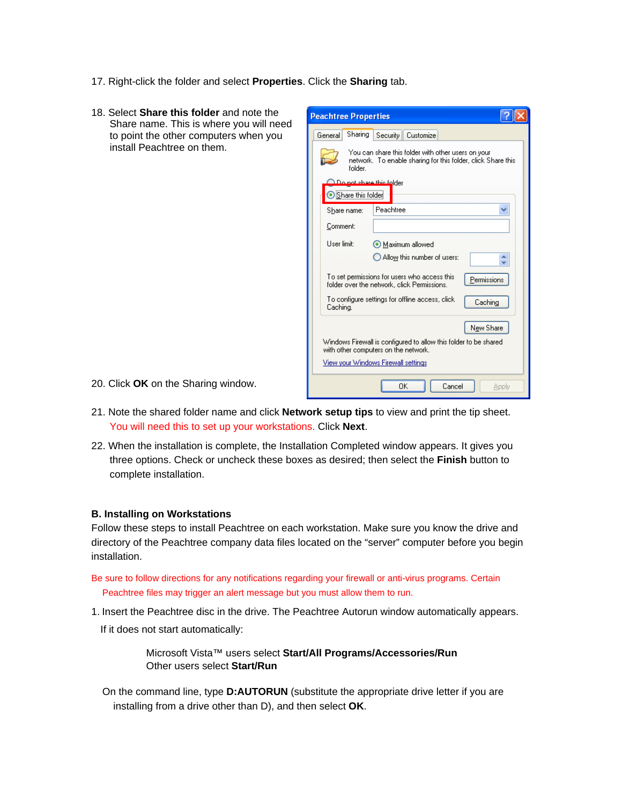- 17. Right-click the folder and select **Properties**. Click the **Sharing** tab.
- 18. Select **Share this folder** and note the Share name. This is where you will need to point the other computers when you install Peachtree on them.

| <b>Peachtree Properties</b>                                                                                                                     |
|-------------------------------------------------------------------------------------------------------------------------------------------------|
| Sharing<br>General<br>Security  <br>Customize                                                                                                   |
| You can share this folder with other users on your<br>network. To enable sharing for this folder, click Share this<br>folder                    |
| Do not share this folder<br>Share this folder                                                                                                   |
| Peachtree<br>Share name:                                                                                                                        |
| Comment:                                                                                                                                        |
| User limit:<br>Maximum allowed                                                                                                                  |
| Allow this number of users:                                                                                                                     |
| To set permissions for users who access this<br>Permissions<br>folder over the network, click Permissions.                                      |
| To configure settings for offline access, click<br>Caching<br>Caching.                                                                          |
| New Share                                                                                                                                       |
| Windows Firewall is configured to allow this folder to be shared<br>with other computers on the network.<br>View your Windows Firewall settings |
| ПK<br>Cancel<br>Apply                                                                                                                           |

- 20. Click **OK** on the Sharing window.
- 21. Note the shared folder name and click **Network setup tips** to view and print the tip sheet. You will need this to set up your workstations. Click **Next**.
- 22. When the installation is complete, the Installation Completed window appears. It gives you three options. Check or uncheck these boxes as desired; then select the **Finish** button to complete installation.

#### **B. Installing on Workstations**

Follow these steps to install Peachtree on each workstation. Make sure you know the drive and directory of the Peachtree company data files located on the "server" computer before you begin installation.

- Be sure to follow directions for any notifications regarding your firewall or anti-virus programs. Certain Peachtree files may trigger an alert message but you must allow them to run.
- 1. Insert the Peachtree disc in the drive. The Peachtree Autorun window automatically appears.
	- If it does not start automatically:

 Microsoft Vista™ users select **Start/All Programs/Accessories/Run** Other users select **Start/Run**

On the command line, type **D:AUTORUN** (substitute the appropriate drive letter if you are installing from a drive other than D), and then select **OK**.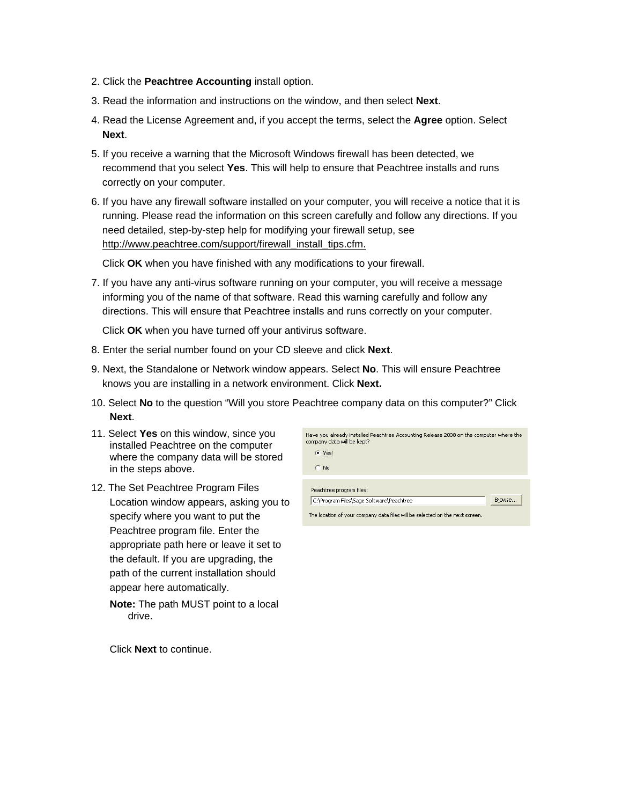- 2. Click the **Peachtree Accounting** install option.
- 3. Read the information and instructions on the window, and then select **Next**.
- 4. Read the License Agreement and, if you accept the terms, select the **Agree** option. Select **Next**.
- 5. If you receive a warning that the Microsoft Windows firewall has been detected, we recommend that you select **Yes**. This will help to ensure that Peachtree installs and runs correctly on your computer.
- 6. If you have any firewall software installed on your computer, you will receive a notice that it is running. Please read the information on this screen carefully and follow any directions. If you need detailed, step-by-step help for modifying your firewall setup, see http://www.peachtree.com/support/firewall\_install\_tips.cfm.

Click **OK** when you have finished with any modifications to your firewall.

7. If you have any anti-virus software running on your computer, you will receive a message informing you of the name of that software. Read this warning carefully and follow any directions. This will ensure that Peachtree installs and runs correctly on your computer.

Click **OK** when you have turned off your antivirus software.

- 8. Enter the serial number found on your CD sleeve and click **Next**.
- 9. Next, the Standalone or Network window appears. Select **No**. This will ensure Peachtree knows you are installing in a network environment. Click **Next.**
- 10. Select **No** to the question "Will you store Peachtree company data on this computer?" Click **Next**.
- 11. Select **Yes** on this window, since you installed Peachtree on the computer where the company data will be stored in the steps above.
- 12. The Set Peachtree Program Files Location window appears, asking you to specify where you want to put the Peachtree program file. Enter the appropriate path here or leave it set to the default. If you are upgrading, the path of the current installation should appear here automatically.
	- **Note:** The path MUST point to a local drive.

Click **Next** to continue.

| Have you already installed Peachtree Accounting Release 2008 on the computer where the<br>company data will be kept? |        |
|----------------------------------------------------------------------------------------------------------------------|--------|
| C Yesi                                                                                                               |        |
| No                                                                                                                   |        |
| Peachtree program files:                                                                                             |        |
| C:\Program Files\Sage Software\Peachtree                                                                             | Browse |

The location of your company data files will be selected on the next screen.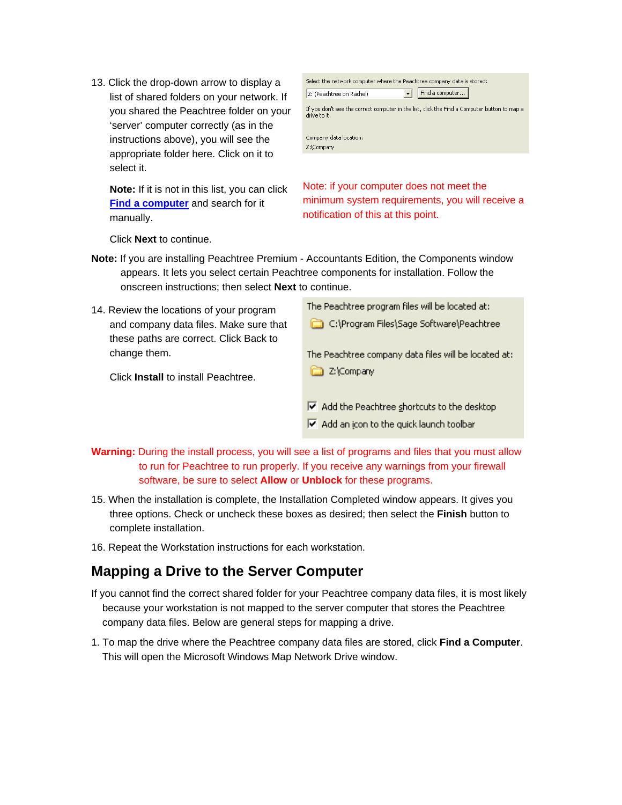13. Click the drop-down arrow to display a list of shared folders on your network. If you shared the Peachtree folder on your 'server' computer correctly (as in the instructions above), you will see the appropriate folder here. Click on it to select it.

**Note:** If it is not in this list, you can click **Find a computer** and search for it manually.

| Select the network computer where the Peachtree company data is stored:                                      |                 |  |  |
|--------------------------------------------------------------------------------------------------------------|-----------------|--|--|
| Z: (Peachtree on Rachel)                                                                                     | Find a computer |  |  |
| If you don't see the correct computer in the list, click the Find a Computer button to map a<br>drive to it. |                 |  |  |
| Company data location:<br>Z:\Company                                                                         |                 |  |  |
|                                                                                                              |                 |  |  |

Note: if your computer does not meet the minimum system requirements, you will receive a notification of this at this point.

 $\overline{\nabla}$  Add an icon to the quick launch toolbar

Click **Next** to continue.

- **Note:** If you are installing Peachtree Premium Accountants Edition, the Components window appears. It lets you select certain Peachtree components for installation. Follow the onscreen instructions; then select **Next** to continue.
- The Peachtree program files will be located at: 14. Review the locations of your program C:\Program Files\Sage Software\Peachtree and company data files. Make sure that these paths are correct. Click Back to change them. The Peachtree company data files will be located at: 2:\Company Click **Install** to install Peachtree.  $\overline{\triangledown}$  Add the Peachtree shortcuts to the desktop
- **Warning:** During the install process, you will see a list of programs and files that you must allow to run for Peachtree to run properly. If you receive any warnings from your firewall software, be sure to select **Allow** or **Unblock** for these programs.
- 15. When the installation is complete, the Installation Completed window appears. It gives you three options. Check or uncheck these boxes as desired; then select the **Finish** button to complete installation.
- 16. Repeat the Workstation instructions for each workstation.

# **Mapping a Drive to the Server Computer**

- If you cannot find the correct shared folder for your Peachtree company data files, it is most likely because your workstation is not mapped to the server computer that stores the Peachtree company data files. Below are general steps for mapping a drive.
- 1. To map the drive where the Peachtree company data files are stored, click **Find a Computer**. This will open the Microsoft Windows Map Network Drive window.